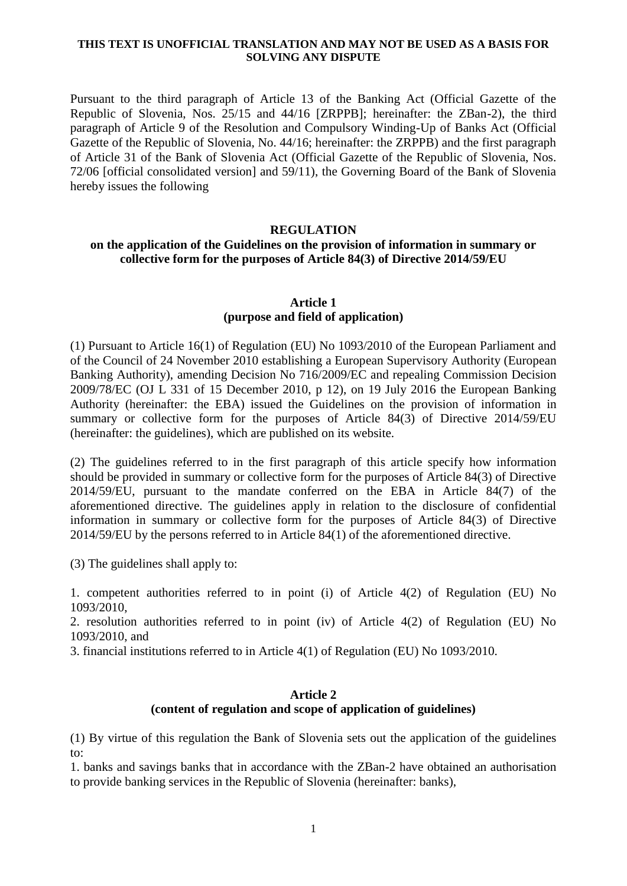### **THIS TEXT IS UNOFFICIAL TRANSLATION AND MAY NOT BE USED AS A BASIS FOR SOLVING ANY DISPUTE**

Pursuant to the third paragraph of Article 13 of the Banking Act (Official Gazette of the Republic of Slovenia, Nos. 25/15 and 44/16 [ZRPPB]; hereinafter: the ZBan-2), the third paragraph of Article 9 of the Resolution and Compulsory Winding-Up of Banks Act (Official Gazette of the Republic of Slovenia, No. 44/16; hereinafter: the ZRPPB) and the first paragraph of Article 31 of the Bank of Slovenia Act (Official Gazette of the Republic of Slovenia, Nos. 72/06 [official consolidated version] and 59/11), the Governing Board of the Bank of Slovenia hereby issues the following

#### **REGULATION**

## **on the application of the Guidelines on the provision of information in summary or collective form for the purposes of Article 84(3) of Directive 2014/59/EU**

#### **Article 1 (purpose and field of application)**

(1) Pursuant to Article 16(1) of Regulation (EU) No 1093/2010 of the European Parliament and of the Council of 24 November 2010 establishing a European Supervisory Authority (European Banking Authority), amending Decision No 716/2009/EC and repealing Commission Decision 2009/78/EC (OJ L 331 of 15 December 2010, p 12), on 19 July 2016 the European Banking Authority (hereinafter: the EBA) issued the Guidelines on the provision of information in summary or collective form for the purposes of Article 84(3) of Directive 2014/59/EU (hereinafter: the guidelines), which are published on its website.

(2) The guidelines referred to in the first paragraph of this article specify how information should be provided in summary or collective form for the purposes of Article 84(3) of Directive 2014/59/EU, pursuant to the mandate conferred on the EBA in Article 84(7) of the aforementioned directive. The guidelines apply in relation to the disclosure of confidential information in summary or collective form for the purposes of Article 84(3) of Directive 2014/59/EU by the persons referred to in Article 84(1) of the aforementioned directive.

(3) The guidelines shall apply to:

1. competent authorities referred to in point (i) of Article 4(2) of Regulation (EU) No 1093/2010,

2. resolution authorities referred to in point (iv) of Article 4(2) of Regulation (EU) No 1093/2010, and

3. financial institutions referred to in Article 4(1) of Regulation (EU) No 1093/2010.

### **Article 2 (content of regulation and scope of application of guidelines)**

(1) By virtue of this regulation the Bank of Slovenia sets out the application of the guidelines to:

1. banks and savings banks that in accordance with the ZBan-2 have obtained an authorisation to provide banking services in the Republic of Slovenia (hereinafter: banks),